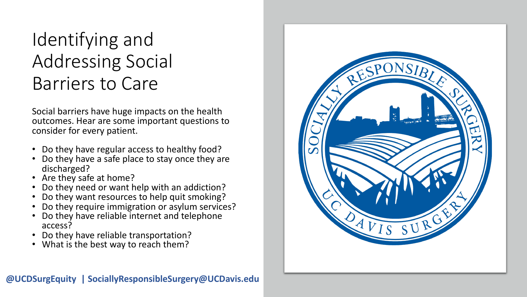## Identifying and Addressing Social Barriers to Care

Social barriers have huge impacts on the health outcomes. Hear are some important questions to consider for every patient.

- Do they have regular access to healthy food? Do they have a safe place to stay once they are
- 
- 
- discharged?<br>
Are they safe at home?<br>
Do they need or want help with an addiction?<br>
Do they want resources to help quit smoking?
- 
- Do they require immigration or asylum services? Do they have reliable internet and telephone
- access?
- Do they have reliable transportation? What is the best way to reach them?
-